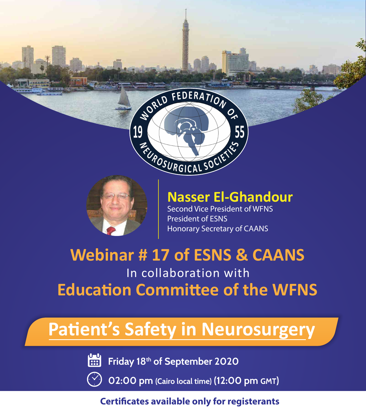$\begin{bmatrix} 0 & 1 \\ 0 & 1 \end{bmatrix}$ **Friday 18th of September 2020**

**02:00 pm (Cairo local time) (12:00 pm GMT)**

### **Certificates available only for registerants**



# **Nasser El-Ghandour**

Second Vice President of WFNS President of ESNS Honorary Secretary of CAANS



# In collaboration with **Webinar # 17 of ESNS & CAANS Education Committee of the WFNS**

# Patient's Safety in Neurosurgery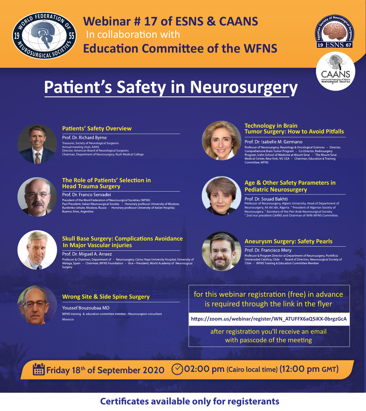

## In collaboration with **Webinar # 17 of ESNS & CAANS Education Committee of the WFNS**





# Patient's Safety in Neurosurgery



#### **Patients' Safety Overview**

#### Prof. Dr. Richard Byrne

#### **Technology in Brain Tumor Surgery: How to Avoid Pitfalls**

#### Prof. Dr. Isabelle M. Germano

Professor of Neurosurgery, Neurology & Oncological Sciences - Director, Comprehensive Brain Tumor Program - Co-Director, Radiosurgery Program, Icahn School of Medicine at Mount Sinai - The Mount Sinai Medical Center, New York, NY, USA - Chairman, Education & Training Committee, WFNS



#### **Age & Other Safety Parameters in Pediatric Neurosurgery**

#### Prof. Dr. Souad Bakhti

Professor of Neurosurgery, Algiers University, Head of Department of Neurosurgery, Ali Ait Idir, Algeria. ° President of Algerian Society of Neurosurgery. ° Secretary of the Pan Arab Neurosurgical Society. ° 2nd vice president CAANS and Chairman of WIN-WFNS Committee.



#### **The Role of Patients' Selection in Head Trauma Surgery**

Prof. Dr. Franco Servadei

President of the Word Federation of Neurosurgical Societies (WFNS) Past President, Italian Neurosurgical Society - Honorary professor University of Moskow, Burdenko Istitute, Moskow, Russia - Honorary professor University of Italian Hospital, **Buenos Aires, Argentina** 



#### **Skull Base Surgery: Complications Avoidance In Major Vascular injuries**

#### Prof. Dr. Miguel A. Arraez

Professor & Chairman, Department of - Neurosurgery, Carlos Haya University Hospital, University of Malaga, Spain - Chairman, WFNS Foundation - Vice – President, World Academy of Neurological Surgery



#### **Aneurysm Surgery: Safety Pearls**

#### Prof. Dr. Francisco Mery

Professor & Program Director at Department of Neurosurgery, Pontificia Universidad Católica, Chile - Board of Directors, Neurosurgical Society of Chile - WFNS Training & Education Committee Member



### for this webinar registration (free) in advance is required through the link in the flyer

#### **Wrong Site & Side Spine Surgery**

**Youssef Bouzoubaa MD** WFNS training & education committee member - Neurosurgeon consultant **Morocco** 

**h�ps://zoom.us/webinar/register/WN\_ATUFFX6aQ5iKX-0brgzGcA**

after registration you'll receive an email with passcode of the meeting

**Friday 18<sup>th</sup> of September 2020** <br>
202:00 pm (Cairo local time) (12:00 pm GMT)

## **Certificates available only for registerants**

Treasurer, Society of Neurological Surgeons Annual meeting chair, AANS Director, American Board of Neurological Surgeons Chairman, Department of Neurosurgery, Rush Medical College